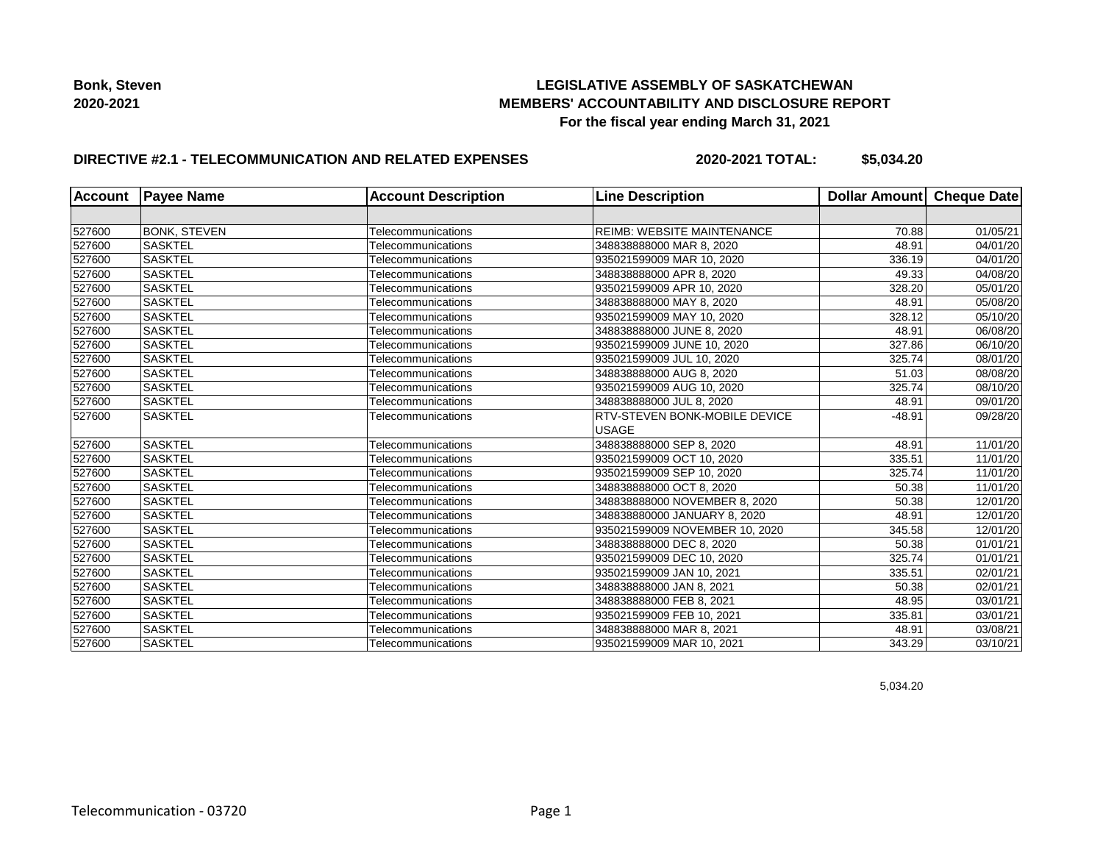## **LEGISLATIVE ASSEMBLY OF SASKATCHEWAN MEMBERS' ACCOUNTABILITY AND DISCLOSURE REPORT For the fiscal year ending March 31, 2021**

## **DIRECTIVE #2.1 - TELECOMMUNICATION AND RELATED EXPENSES**

**2020-2021 TOTAL: \$5,034.20**

| <b>Account</b> | <b>Payee Name</b>   | <b>Account Description</b> | <b>Line Description</b>           | Dollar Amount Cheque Date |                       |
|----------------|---------------------|----------------------------|-----------------------------------|---------------------------|-----------------------|
|                |                     |                            |                                   |                           |                       |
| 527600         | <b>BONK, STEVEN</b> | Telecommunications         | <b>REIMB: WEBSITE MAINTENANCE</b> | 70.88                     | 01/05/21              |
| 527600         | <b>SASKTEL</b>      | Telecommunications         | 348838888000 MAR 8, 2020          | 48.91                     | 04/01/20              |
| 527600         | <b>SASKTEL</b>      | Telecommunications         | 935021599009 MAR 10, 2020         | 336.19                    | 04/01/20              |
| 527600         | <b>SASKTEL</b>      | Telecommunications         | 348838888000 APR 8, 2020          | 49.33                     | 04/08/20              |
| 527600         | <b>SASKTEL</b>      | Telecommunications         | 935021599009 APR 10, 2020         | 328.20                    | 05/01/20              |
| 527600         | <b>SASKTEL</b>      | Telecommunications         | 348838888000 MAY 8, 2020          | 48.91                     | 05/08/20              |
| 527600         | <b>SASKTEL</b>      | Telecommunications         | 935021599009 MAY 10, 2020         | 328.12                    | 05/10/20              |
| 527600         | <b>SASKTEL</b>      | Telecommunications         | 348838888000 JUNE 8, 2020         | 48.91                     | 06/08/20              |
| 527600         | <b>SASKTEL</b>      | Telecommunications         | 935021599009 JUNE 10, 2020        | 327.86                    | $\overline{06}/10/20$ |
| 527600         | <b>SASKTEL</b>      | Telecommunications         | 935021599009 JUL 10, 2020         | 325.74                    | 08/01/20              |
| 527600         | <b>SASKTEL</b>      | Telecommunications         | 348838888000 AUG 8, 2020          | 51.03                     | 08/08/20              |
| 527600         | <b>SASKTEL</b>      | Telecommunications         | 935021599009 AUG 10, 2020         | 325.74                    | 08/10/20              |
| 527600         | <b>SASKTEL</b>      | Telecommunications         | 348838888000 JUL 8, 2020          | 48.91                     | 09/01/20              |
| 527600         | <b>SASKTEL</b>      | Telecommunications         | RTV-STEVEN BONK-MOBILE DEVICE     | $-48.91$                  | 09/28/20              |
|                |                     |                            | <b>USAGE</b>                      |                           |                       |
| 527600         | <b>SASKTEL</b>      | Telecommunications         | 348838888000 SEP 8, 2020          | 48.91                     | 11/01/20              |
| 527600         | <b>SASKTEL</b>      | Telecommunications         | 935021599009 OCT 10, 2020         | 335.51                    | 11/01/20              |
| 527600         | <b>SASKTEL</b>      | Telecommunications         | 935021599009 SEP 10, 2020         | 325.74                    | 11/01/20              |
| 527600         | <b>SASKTEL</b>      | Telecommunications         | 348838888000 OCT 8, 2020          | 50.38                     | 11/01/20              |
| 527600         | <b>SASKTEL</b>      | Telecommunications         | 348838888000 NOVEMBER 8, 2020     | 50.38                     | 12/01/20              |
| 527600         | <b>SASKTEL</b>      | Telecommunications         | 348838880000 JANUARY 8, 2020      | 48.91                     | 12/01/20              |
| 527600         | <b>SASKTEL</b>      | Telecommunications         | 935021599009 NOVEMBER 10, 2020    | 345.58                    | 12/01/20              |
| 527600         | <b>SASKTEL</b>      | Telecommunications         | 348838888000 DEC 8, 2020          | 50.38                     | 01/01/21              |
| 527600         | <b>SASKTEL</b>      | Telecommunications         | 935021599009 DEC 10, 2020         | 325.74                    | 01/01/21              |
| 527600         | <b>SASKTEL</b>      | Telecommunications         | 935021599009 JAN 10, 2021         | 335.51                    | 02/01/21              |
| 527600         | <b>SASKTEL</b>      | Telecommunications         | 348838888000 JAN 8, 2021          | 50.38                     | 02/01/21              |
| 527600         | <b>SASKTEL</b>      | Telecommunications         | 348838888000 FEB 8, 2021          | 48.95                     | 03/01/21              |
| 527600         | <b>SASKTEL</b>      | Telecommunications         | 935021599009 FEB 10, 2021         | 335.81                    | 03/01/21              |
| 527600         | <b>SASKTEL</b>      | Telecommunications         | 348838888000 MAR 8, 2021          | 48.91                     | 03/08/21              |
| 527600         | <b>SASKTEL</b>      | Telecommunications         | 935021599009 MAR 10, 2021         | 343.29                    | 03/10/21              |

5,034.20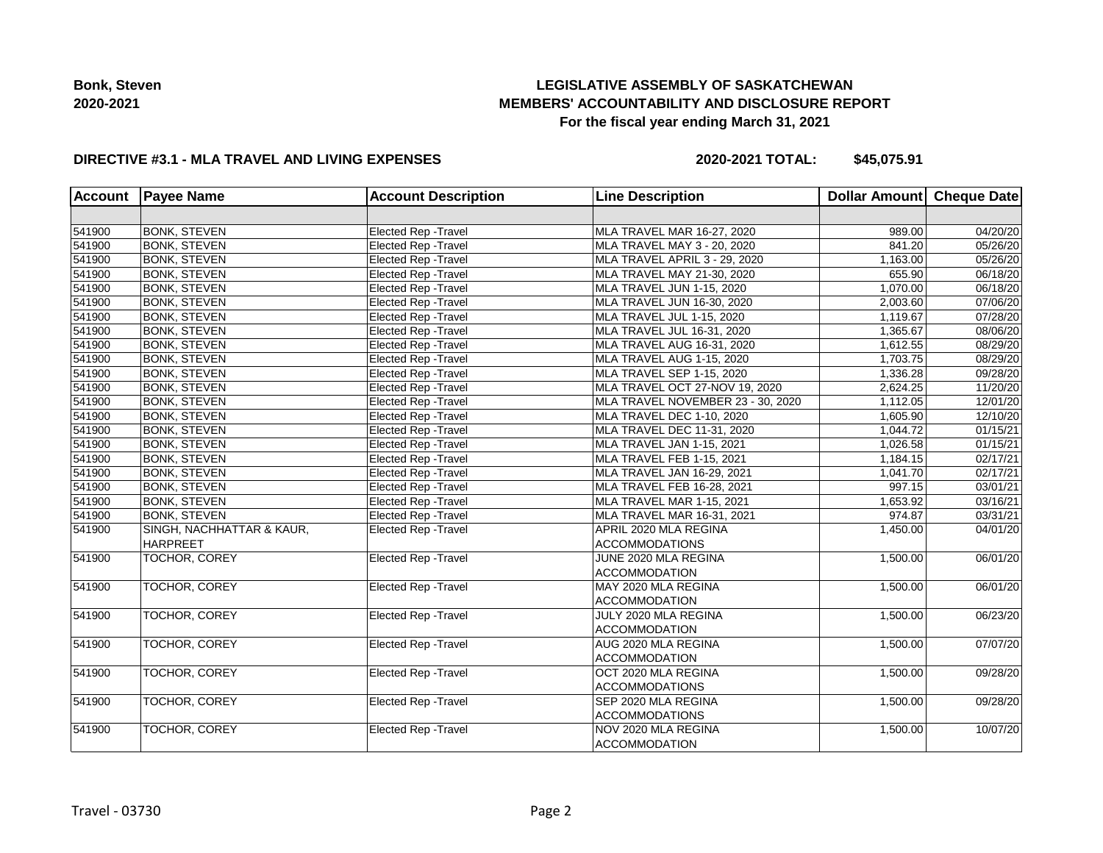# **LEGISLATIVE ASSEMBLY OF SASKATCHEWAN MEMBERS' ACCOUNTABILITY AND DISCLOSURE REPORT For the fiscal year ending March 31, 2021**

### **DIRECTIVE #3.1 - MLA TRAVEL AND LIVING EXPENSES**

**2020-2021 TOTAL: \$45,075.91**

| <b>Account</b> | <b>Payee Name</b>         | <b>Account Description</b>  | <b>Line Description</b>           | Dollar Amount Cheque Date |          |
|----------------|---------------------------|-----------------------------|-----------------------------------|---------------------------|----------|
|                |                           |                             |                                   |                           |          |
| 541900         | <b>BONK, STEVEN</b>       | Elected Rep - Travel        | MLA TRAVEL MAR 16-27, 2020        | 989.00                    | 04/20/20 |
| 541900         | <b>BONK, STEVEN</b>       | <b>Elected Rep - Travel</b> | MLA TRAVEL MAY 3 - 20, 2020       | 841.20                    | 05/26/20 |
| 541900         | <b>BONK, STEVEN</b>       | <b>Elected Rep - Travel</b> | MLA TRAVEL APRIL 3 - 29, 2020     | 1,163.00                  | 05/26/20 |
| 541900         | <b>BONK, STEVEN</b>       | Elected Rep - Travel        | MLA TRAVEL MAY 21-30, 2020        | 655.90                    | 06/18/20 |
| 541900         | <b>BONK, STEVEN</b>       | Elected Rep - Travel        | MLA TRAVEL JUN 1-15, 2020         | 1,070.00                  | 06/18/20 |
| 541900         | <b>BONK, STEVEN</b>       | Elected Rep - Travel        | MLA TRAVEL JUN 16-30, 2020        | 2,003.60                  | 07/06/20 |
| 541900         | <b>BONK, STEVEN</b>       | Elected Rep - Travel        | MLA TRAVEL JUL 1-15, 2020         | 1,119.67                  | 07/28/20 |
| 541900         | <b>BONK, STEVEN</b>       | Elected Rep - Travel        | MLA TRAVEL JUL 16-31, 2020        | 1,365.67                  | 08/06/20 |
| 541900         | <b>BONK, STEVEN</b>       | Elected Rep - Travel        | MLA TRAVEL AUG 16-31, 2020        | 1,612.55                  | 08/29/20 |
| 541900         | <b>BONK, STEVEN</b>       | <b>Elected Rep - Travel</b> | MLA TRAVEL AUG 1-15, 2020         | 1,703.75                  | 08/29/20 |
| 541900         | <b>BONK, STEVEN</b>       | <b>Elected Rep - Travel</b> | MLA TRAVEL SEP 1-15, 2020         | 1,336.28                  | 09/28/20 |
| 541900         | <b>BONK, STEVEN</b>       | <b>Elected Rep - Travel</b> | MLA TRAVEL OCT 27-NOV 19, 2020    | 2,624.25                  | 11/20/20 |
| 541900         | <b>BONK, STEVEN</b>       | Elected Rep - Travel        | MLA TRAVEL NOVEMBER 23 - 30, 2020 | 1,112.05                  | 12/01/20 |
| 541900         | <b>BONK, STEVEN</b>       | <b>Elected Rep - Travel</b> | MLA TRAVEL DEC 1-10, 2020         | 1,605.90                  | 12/10/20 |
| 541900         | <b>BONK, STEVEN</b>       | <b>Elected Rep - Travel</b> | MLA TRAVEL DEC 11-31, 2020        | 1,044.72                  | 01/15/21 |
| 541900         | <b>BONK, STEVEN</b>       | <b>Elected Rep - Travel</b> | MLA TRAVEL JAN 1-15, 2021         | 1.026.58                  | 01/15/21 |
| 541900         | <b>BONK, STEVEN</b>       | Elected Rep - Travel        | MLA TRAVEL FEB 1-15, 2021         | 1,184.15                  | 02/17/21 |
| 541900         | <b>BONK, STEVEN</b>       | <b>Elected Rep - Travel</b> | MLA TRAVEL JAN 16-29, 2021        | 1,041.70                  | 02/17/21 |
| 541900         | <b>BONK, STEVEN</b>       | <b>Elected Rep - Travel</b> | MLA TRAVEL FEB 16-28, 2021        | 997.15                    | 03/01/21 |
| 541900         | <b>BONK, STEVEN</b>       | <b>Elected Rep - Travel</b> | MLA TRAVEL MAR 1-15, 2021         | 1,653.92                  | 03/16/21 |
| 541900         | <b>BONK, STEVEN</b>       | Elected Rep - Travel        | MLA TRAVEL MAR 16-31, 2021        | 974.87                    | 03/31/21 |
| 541900         | SINGH, NACHHATTAR & KAUR, | <b>Elected Rep - Travel</b> | APRIL 2020 MLA REGINA             | 1,450.00                  | 04/01/20 |
|                | <b>HARPREET</b>           |                             | <b>ACCOMMODATIONS</b>             |                           |          |
| 541900         | <b>TOCHOR, COREY</b>      | Elected Rep - Travel        | JUNE 2020 MLA REGINA              | 1,500.00                  | 06/01/20 |
|                |                           |                             | <b>ACCOMMODATION</b>              |                           |          |
| 541900         | TOCHOR, COREY             | <b>Elected Rep - Travel</b> | MAY 2020 MLA REGINA               | 1,500.00                  | 06/01/20 |
|                |                           |                             | <b>ACCOMMODATION</b>              |                           |          |
| 541900         | <b>TOCHOR, COREY</b>      | Elected Rep - Travel        | JULY 2020 MLA REGINA              | 1,500.00                  | 06/23/20 |
|                |                           |                             | <b>ACCOMMODATION</b>              |                           |          |
| 541900         | TOCHOR, COREY             | <b>Elected Rep - Travel</b> | AUG 2020 MLA REGINA               | 1,500.00                  | 07/07/20 |
|                |                           |                             | <b>ACCOMMODATION</b>              |                           |          |
| 541900         | TOCHOR, COREY             | Elected Rep - Travel        | OCT 2020 MLA REGINA               | 1,500.00                  | 09/28/20 |
|                |                           |                             | <b>ACCOMMODATIONS</b>             |                           |          |
| 541900         | TOCHOR, COREY             | <b>Elected Rep - Travel</b> | SEP 2020 MLA REGINA               | 1,500.00                  | 09/28/20 |
|                |                           |                             | <b>ACCOMMODATIONS</b>             |                           |          |
| 541900         | TOCHOR, COREY             | <b>Elected Rep - Travel</b> | NOV 2020 MLA REGINA               | 1,500.00                  | 10/07/20 |
|                |                           |                             | <b>ACCOMMODATION</b>              |                           |          |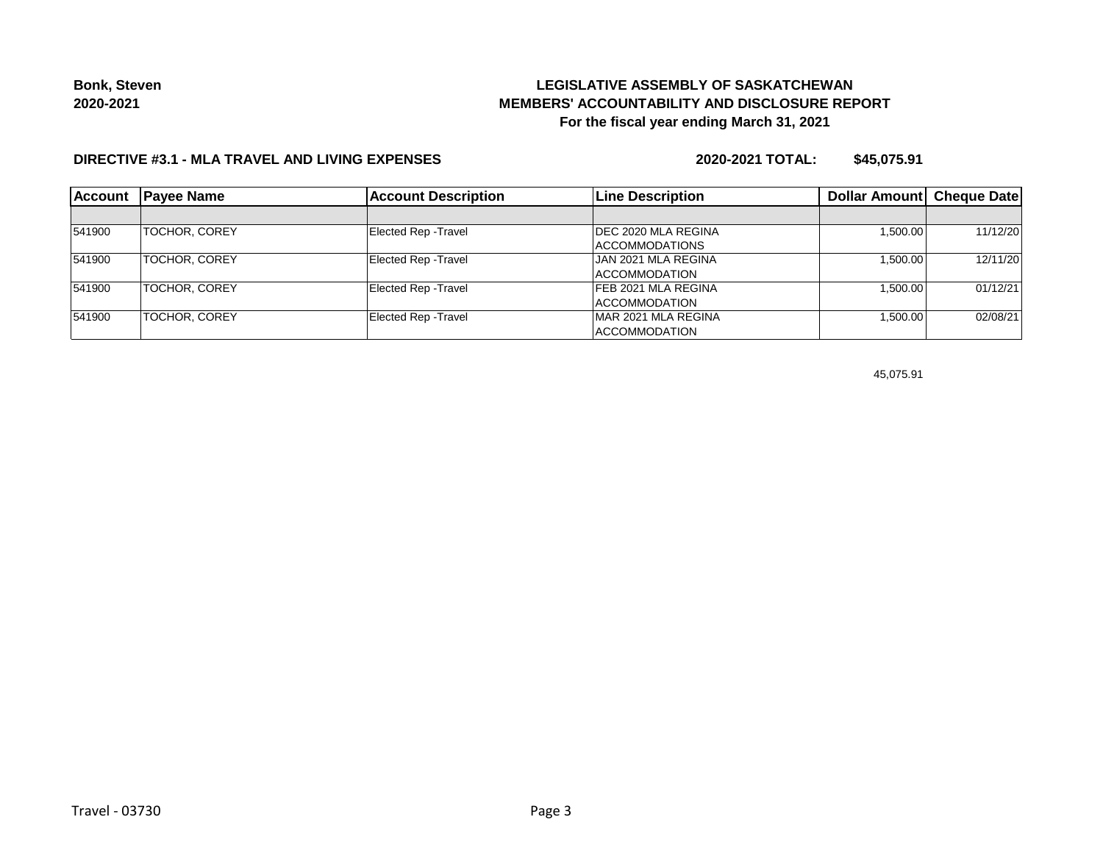# **LEGISLATIVE ASSEMBLY OF SASKATCHEWAN MEMBERS' ACCOUNTABILITY AND DISCLOSURE REPORT For the fiscal year ending March 31, 2021**

## **DIRECTIVE #3.1 - MLA TRAVEL AND LIVING EXPENSES**

**2020-2021 TOTAL: \$45,075.91**

| <b>Account</b> | <b>Payee Name</b>    | <b>Account Description</b>  | <b>Line Description</b>     | Dollar Amount Cheque Date |          |
|----------------|----------------------|-----------------------------|-----------------------------|---------------------------|----------|
|                |                      |                             |                             |                           |          |
| 541900         | <b>TOCHOR, COREY</b> | <b>Elected Rep - Travel</b> | <b>IDEC 2020 MLA REGINA</b> | 1,500.00                  | 11/12/20 |
|                |                      |                             | ACCOMMODATIONS              |                           |          |
| 541900         | <b>TOCHOR, COREY</b> | <b>Elected Rep - Travel</b> | <b>JAN 2021 MLA REGINA</b>  | 1.500.00                  | 12/11/20 |
|                |                      |                             | <b>ACCOMMODATION</b>        |                           |          |
| 541900         | TOCHOR, COREY        | <b>Elected Rep - Travel</b> | <b>FEB 2021 MLA REGINA</b>  | 1,500.00                  | 01/12/21 |
|                |                      |                             | ACCOMMODATION               |                           |          |
| 541900         | <b>TOCHOR, COREY</b> | <b>Elected Rep - Travel</b> | MAR 2021 MLA REGINA         | 1,500.00                  | 02/08/21 |
|                |                      |                             | ACCOMMODATION               |                           |          |

45,075.91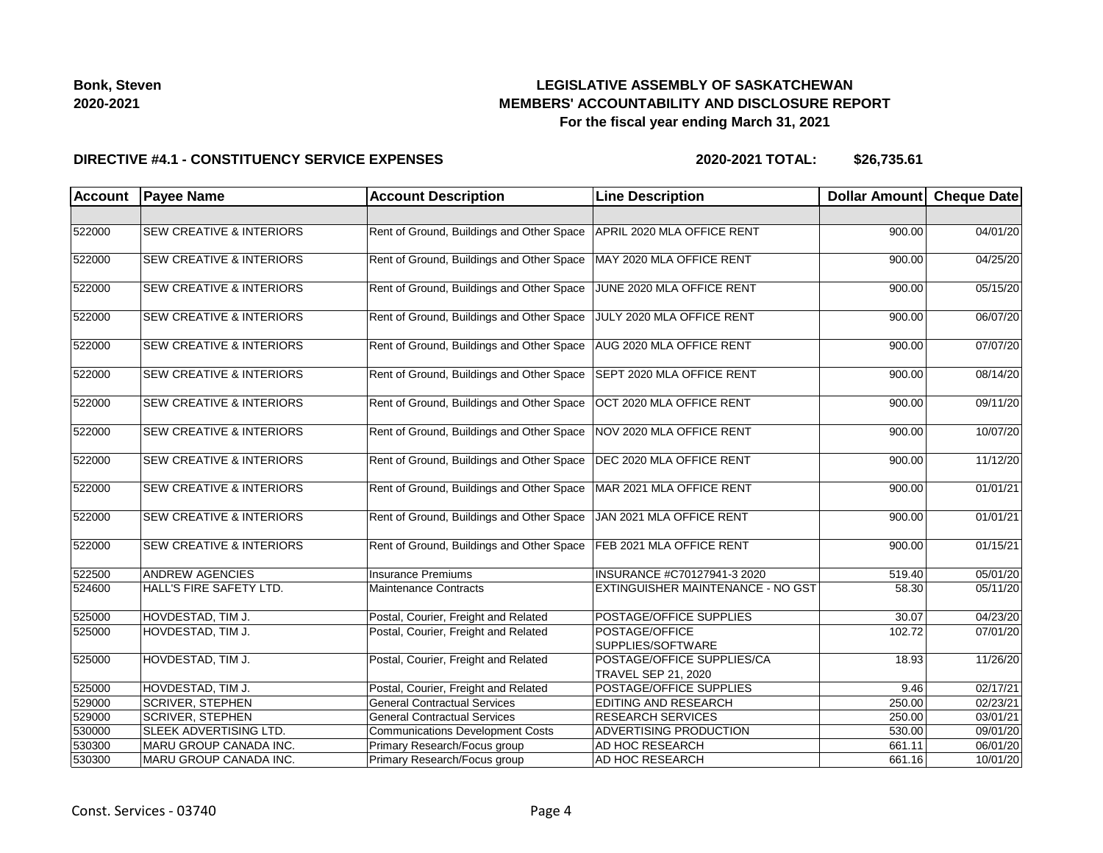## **LEGISLATIVE ASSEMBLY OF SASKATCHEWAN MEMBERS' ACCOUNTABILITY AND DISCLOSURE REPORT For the fiscal year ending March 31, 2021**

#### **DIRECTIVE #4.1 - CONSTITUENCY SERVICE EXPENSES**

**2020-2021 TOTAL: \$26,735.61**

| <b>Account</b> | <b>Payee Name</b>                   | <b>Account Description</b>                | <b>Line Description</b>                                  | Dollar Amount Cheque Date |          |
|----------------|-------------------------------------|-------------------------------------------|----------------------------------------------------------|---------------------------|----------|
|                |                                     |                                           |                                                          |                           |          |
| 522000         | <b>SEW CREATIVE &amp; INTERIORS</b> | Rent of Ground, Buildings and Other Space | APRIL 2020 MLA OFFICE RENT                               | 900.00                    | 04/01/20 |
| 522000         | <b>SEW CREATIVE &amp; INTERIORS</b> | Rent of Ground, Buildings and Other Space | MAY 2020 MLA OFFICE RENT                                 | 900.00                    | 04/25/20 |
| 522000         | <b>SEW CREATIVE &amp; INTERIORS</b> | Rent of Ground, Buildings and Other Space | JUNE 2020 MLA OFFICE RENT                                | 900.00                    | 05/15/20 |
| 522000         | <b>SEW CREATIVE &amp; INTERIORS</b> | Rent of Ground, Buildings and Other Space | JULY 2020 MLA OFFICE RENT                                | 900.00                    | 06/07/20 |
| 522000         | <b>SEW CREATIVE &amp; INTERIORS</b> | Rent of Ground, Buildings and Other Space | AUG 2020 MLA OFFICE RENT                                 | 900.00                    | 07/07/20 |
| 522000         | <b>SEW CREATIVE &amp; INTERIORS</b> | Rent of Ground, Buildings and Other Space | SEPT 2020 MLA OFFICE RENT                                | 900.00                    | 08/14/20 |
| 522000         | <b>SEW CREATIVE &amp; INTERIORS</b> | Rent of Ground, Buildings and Other Space | OCT 2020 MLA OFFICE RENT                                 | 900.00                    | 09/11/20 |
| 522000         | <b>SEW CREATIVE &amp; INTERIORS</b> | Rent of Ground, Buildings and Other Space | NOV 2020 MLA OFFICE RENT                                 | 900.00                    | 10/07/20 |
| 522000         | <b>SEW CREATIVE &amp; INTERIORS</b> | Rent of Ground, Buildings and Other Space | DEC 2020 MLA OFFICE RENT                                 | 900.00                    | 11/12/20 |
| 522000         | <b>SEW CREATIVE &amp; INTERIORS</b> | Rent of Ground, Buildings and Other Space | MAR 2021 MLA OFFICE RENT                                 | 900.00                    | 01/01/21 |
| 522000         | <b>SEW CREATIVE &amp; INTERIORS</b> | Rent of Ground, Buildings and Other Space | JAN 2021 MLA OFFICE RENT                                 | 900.00                    | 01/01/21 |
| 522000         | <b>SEW CREATIVE &amp; INTERIORS</b> | Rent of Ground, Buildings and Other Space | FEB 2021 MLA OFFICE RENT                                 | 900.00                    | 01/15/21 |
| 522500         | <b>ANDREW AGENCIES</b>              | Insurance Premiums                        | INSURANCE #C70127941-3 2020                              | 519.40                    | 05/01/20 |
| 524600         | HALL'S FIRE SAFETY LTD.             | Maintenance Contracts                     | <b>EXTINGUISHER MAINTENANCE - NO GST</b>                 | 58.30                     | 05/11/20 |
| 525000         | HOVDESTAD, TIM J.                   | Postal, Courier, Freight and Related      | POSTAGE/OFFICE SUPPLIES                                  | 30.07                     | 04/23/20 |
| 525000         | HOVDESTAD, TIM J.                   | Postal, Courier, Freight and Related      | POSTAGE/OFFICE<br>SUPPLIES/SOFTWARE                      | 102.72                    | 07/01/20 |
| 525000         | HOVDESTAD, TIM J.                   | Postal, Courier, Freight and Related      | POSTAGE/OFFICE SUPPLIES/CA<br><b>TRAVEL SEP 21, 2020</b> | 18.93                     | 11/26/20 |
| 525000         | HOVDESTAD, TIM J.                   | Postal, Courier, Freight and Related      | POSTAGE/OFFICE SUPPLIES                                  | 9.46                      | 02/17/21 |
| 529000         | <b>SCRIVER, STEPHEN</b>             | <b>General Contractual Services</b>       | EDITING AND RESEARCH                                     | 250.00                    | 02/23/21 |
| 529000         | <b>SCRIVER, STEPHEN</b>             | <b>General Contractual Services</b>       | <b>RESEARCH SERVICES</b>                                 | 250.00                    | 03/01/21 |
| 530000         | SLEEK ADVERTISING LTD.              | Communications Development Costs          | <b>ADVERTISING PRODUCTION</b>                            | 530.00                    | 09/01/20 |
| 530300         | MARU GROUP CANADA INC.              | Primary Research/Focus group              | AD HOC RESEARCH                                          | 661.11                    | 06/01/20 |
| 530300         | MARU GROUP CANADA INC.              | Primary Research/Focus group              | <b>AD HOC RESEARCH</b>                                   | 661.16                    | 10/01/20 |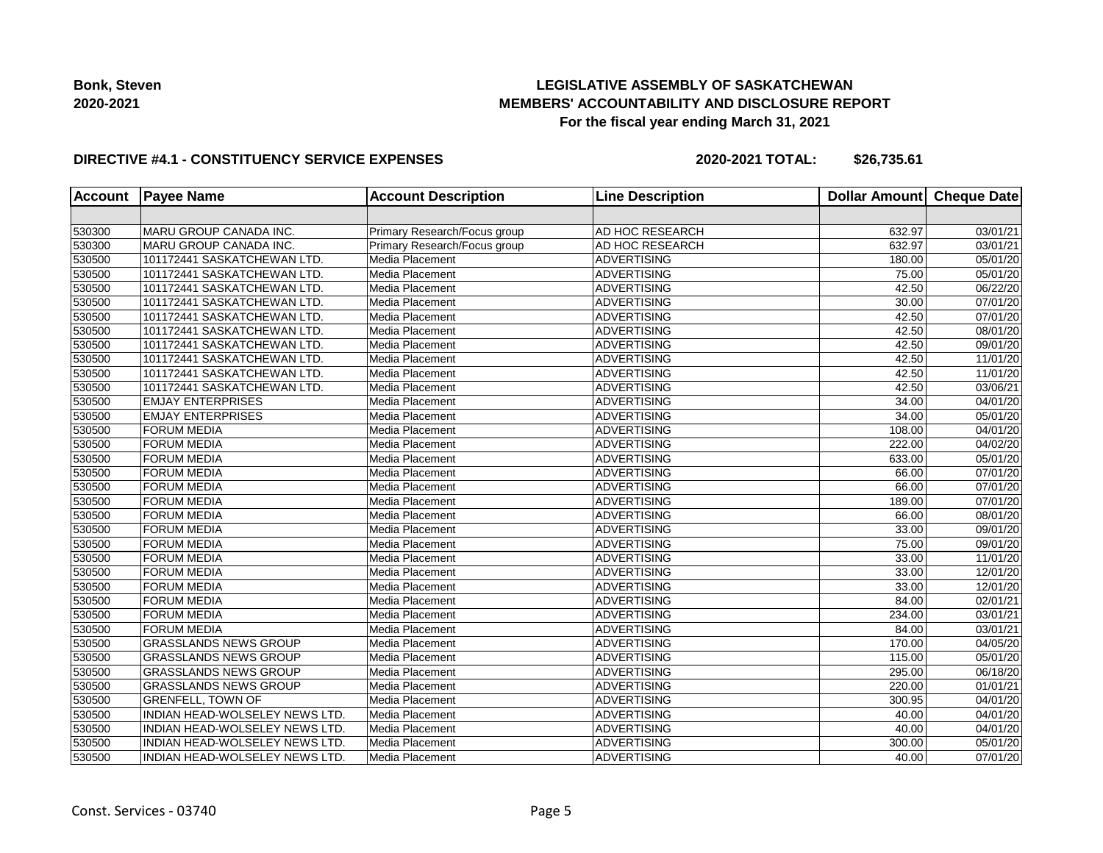## **LEGISLATIVE ASSEMBLY OF SASKATCHEWAN MEMBERS' ACCOUNTABILITY AND DISCLOSURE REPORT For the fiscal year ending March 31, 2021**

### **DIRECTIVE #4.1 - CONSTITUENCY SERVICE EXPENSES**

**2020-2021 TOTAL: \$26,735.61**

| <b>Account</b> | <b>Payee Name</b>                     | <b>Account Description</b>   | <b>Line Description</b> | <b>Dollar Amount</b> | <b>Cheque Date</b> |
|----------------|---------------------------------------|------------------------------|-------------------------|----------------------|--------------------|
|                |                                       |                              |                         |                      |                    |
| 530300         | MARU GROUP CANADA INC.                | Primary Research/Focus group | AD HOC RESEARCH         | 632.97               | 03/01/21           |
| 530300         | MARU GROUP CANADA INC.                | Primary Research/Focus group | AD HOC RESEARCH         | 632.97               | 03/01/21           |
| 530500         | 101172441 SASKATCHEWAN LTD.           | Media Placement              | <b>ADVERTISING</b>      | 180.00               | 05/01/20           |
| 530500         | 101172441 SASKATCHEWAN LTD.           | Media Placement              | <b>ADVERTISING</b>      | 75.00                | 05/01/20           |
| 530500         | 101172441 SASKATCHEWAN LTD.           | Media Placement              | <b>ADVERTISING</b>      | 42.50                | 06/22/20           |
| 530500         | 101172441 SASKATCHEWAN LTD.           | Media Placement              | <b>ADVERTISING</b>      | 30.00                | 07/01/20           |
| 530500         | 101172441 SASKATCHEWAN LTD.           | Media Placement              | <b>ADVERTISING</b>      | 42.50                | 07/01/20           |
| 530500         | 101172441 SASKATCHEWAN LTD.           | Media Placement              | <b>ADVERTISING</b>      | 42.50                | 08/01/20           |
| 530500         | 101172441 SASKATCHEWAN LTD.           | Media Placement              | <b>ADVERTISING</b>      | 42.50                | 09/01/20           |
| 530500         | 101172441 SASKATCHEWAN LTD.           | Media Placement              | <b>ADVERTISING</b>      | 42.50                | 11/01/20           |
| 530500         | 101172441 SASKATCHEWAN LTD.           | Media Placement              | <b>ADVERTISING</b>      | 42.50                | 11/01/20           |
| 530500         | 101172441 SASKATCHEWAN LTD.           | Media Placement              | <b>ADVERTISING</b>      | 42.50                | 03/06/21           |
| 530500         | <b>EMJAY ENTERPRISES</b>              | Media Placement              | <b>ADVERTISING</b>      | 34.00                | 04/01/20           |
| 530500         | <b>EMJAY ENTERPRISES</b>              | Media Placement              | <b>ADVERTISING</b>      | 34.00                | 05/01/20           |
| 530500         | <b>FORUM MEDIA</b>                    | Media Placement              | <b>ADVERTISING</b>      | 108.00               | 04/01/20           |
| 530500         | <b>FORUM MEDIA</b>                    | Media Placement              | <b>ADVERTISING</b>      | 222.00               | 04/02/20           |
| 530500         | <b>FORUM MEDIA</b>                    | Media Placement              | <b>ADVERTISING</b>      | 633.00               | 05/01/20           |
| 530500         | <b>FORUM MEDIA</b>                    | Media Placement              | <b>ADVERTISING</b>      | 66.00                | 07/01/20           |
| 530500         | <b>FORUM MEDIA</b>                    | Media Placement              | <b>ADVERTISING</b>      | 66.00                | 07/01/20           |
| 530500         | <b>FORUM MEDIA</b>                    | Media Placement              | <b>ADVERTISING</b>      | 189.00               | 07/01/20           |
| 530500         | <b>FORUM MEDIA</b>                    | Media Placement              | <b>ADVERTISING</b>      | 66.00                | 08/01/20           |
| 530500         | <b>FORUM MEDIA</b>                    | Media Placement              | <b>ADVERTISING</b>      | 33.00                | 09/01/20           |
| 530500         | <b>FORUM MEDIA</b>                    | Media Placement              | <b>ADVERTISING</b>      | 75.00                | 09/01/20           |
| 530500         | <b>FORUM MEDIA</b>                    | Media Placement              | <b>ADVERTISING</b>      | 33.00                | 11/01/20           |
| 530500         | <b>FORUM MEDIA</b>                    | Media Placement              | <b>ADVERTISING</b>      | 33.00                | 12/01/20           |
| 530500         | <b>FORUM MEDIA</b>                    | Media Placement              | <b>ADVERTISING</b>      | 33.00                | 12/01/20           |
| 530500         | <b>FORUM MEDIA</b>                    | Media Placement              | <b>ADVERTISING</b>      | 84.00                | 02/01/21           |
| 530500         | <b>FORUM MEDIA</b>                    | Media Placement              | <b>ADVERTISING</b>      | 234.00               | 03/01/21           |
| 530500         | <b>FORUM MEDIA</b>                    | Media Placement              | <b>ADVERTISING</b>      | 84.00                | 03/01/21           |
| 530500         | <b>GRASSLANDS NEWS GROUP</b>          | Media Placement              | <b>ADVERTISING</b>      | 170.00               | 04/05/20           |
| 530500         | <b>GRASSLANDS NEWS GROUP</b>          | Media Placement              | <b>ADVERTISING</b>      | 115.00               | 05/01/20           |
| 530500         | <b>GRASSLANDS NEWS GROUP</b>          | Media Placement              | <b>ADVERTISING</b>      | 295.00               | 06/18/20           |
| 530500         | <b>GRASSLANDS NEWS GROUP</b>          | Media Placement              | <b>ADVERTISING</b>      | 220.00               | 01/01/21           |
| 530500         | <b>GRENFELL, TOWN OF</b>              | Media Placement              | <b>ADVERTISING</b>      | 300.95               | 04/01/20           |
| 530500         | INDIAN HEAD-WOLSELEY NEWS LTD.        | Media Placement              | <b>ADVERTISING</b>      | 40.00                | 04/01/20           |
| 530500         | <b>INDIAN HEAD-WOLSELEY NEWS LTD.</b> | Media Placement              | <b>ADVERTISING</b>      | 40.00                | 04/01/20           |
| 530500         | <b>INDIAN HEAD-WOLSELEY NEWS LTD.</b> | Media Placement              | <b>ADVERTISING</b>      | 300.00               | 05/01/20           |
| 530500         | <b>INDIAN HEAD-WOLSELEY NEWS LTD.</b> | Media Placement              | <b>ADVERTISING</b>      | 40.00                | 07/01/20           |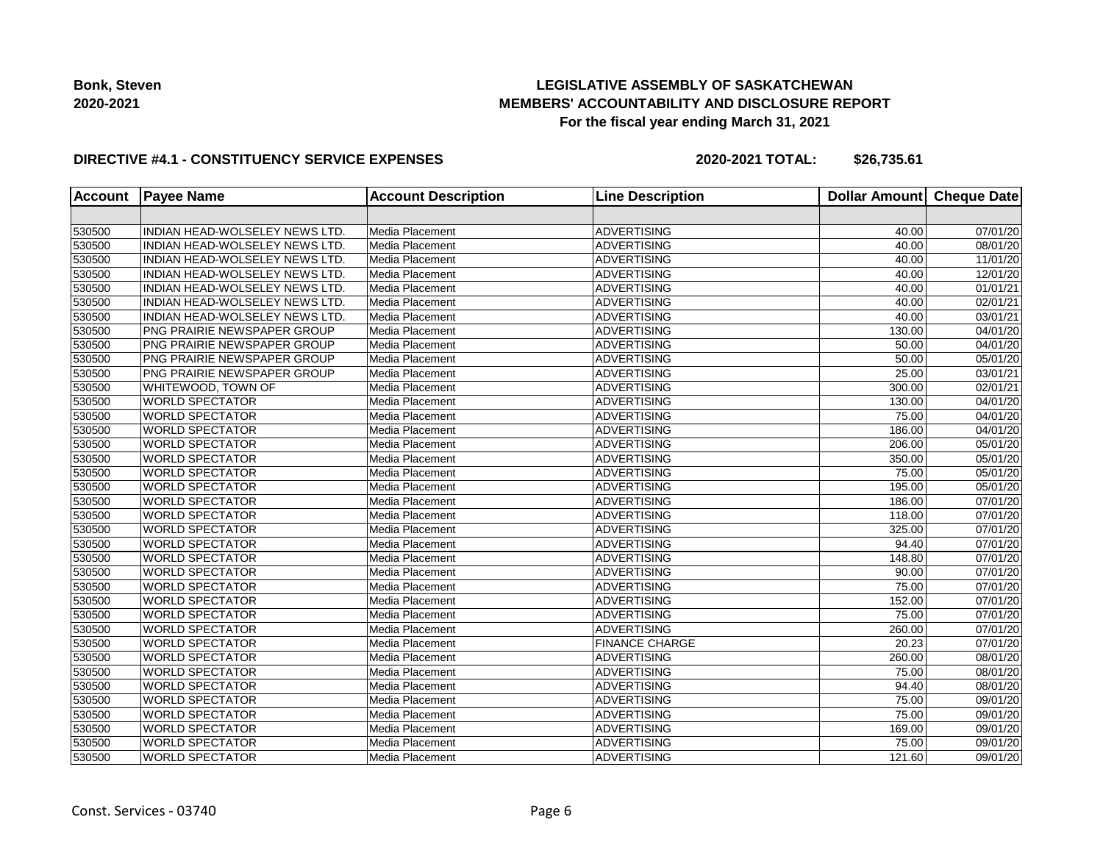## **LEGISLATIVE ASSEMBLY OF SASKATCHEWAN MEMBERS' ACCOUNTABILITY AND DISCLOSURE REPORT For the fiscal year ending March 31, 2021**

### **DIRECTIVE #4.1 - CONSTITUENCY SERVICE EXPENSES**

**2020-2021 TOTAL: \$26,735.61**

| <b>Account</b> | <b>Payee Name</b>                     | <b>Account Description</b> | <b>Line Description</b> | <b>Dollar Amount</b> | <b>Cheque Date</b>    |
|----------------|---------------------------------------|----------------------------|-------------------------|----------------------|-----------------------|
|                |                                       |                            |                         |                      |                       |
| 530500         | INDIAN HEAD-WOLSELEY NEWS LTD.        | Media Placement            | <b>ADVERTISING</b>      | 40.00                | 07/01/20              |
| 530500         | INDIAN HEAD-WOLSELEY NEWS LTD.        | Media Placement            | <b>ADVERTISING</b>      | 40.00                | 08/01/20              |
| 530500         | <b>INDIAN HEAD-WOLSELEY NEWS LTD.</b> | Media Placement            | <b>ADVERTISING</b>      | 40.00                | 11/01/20              |
| 530500         | INDIAN HEAD-WOLSELEY NEWS LTD.        | Media Placement            | <b>ADVERTISING</b>      | 40.00                | 12/01/20              |
| 530500         | <b>INDIAN HEAD-WOLSELEY NEWS LTD.</b> | Media Placement            | <b>ADVERTISING</b>      | 40.00                | 01/01/21              |
| 530500         | INDIAN HEAD-WOLSELEY NEWS LTD.        | Media Placement            | <b>ADVERTISING</b>      | 40.00                | 02/01/21              |
| 530500         | <b>INDIAN HEAD-WOLSELEY NEWS LTD.</b> | Media Placement            | <b>ADVERTISING</b>      | 40.00                | 03/01/21              |
| 530500         | PNG PRAIRIE NEWSPAPER GROUP           | Media Placement            | <b>ADVERTISING</b>      | 130.00               | 04/01/20              |
| 530500         | PNG PRAIRIE NEWSPAPER GROUP           | Media Placement            | <b>ADVERTISING</b>      | 50.00                | 04/01/20              |
| 530500         | <b>PNG PRAIRIE NEWSPAPER GROUP</b>    | Media Placement            | <b>ADVERTISING</b>      | 50.00                | 05/01/20              |
| 530500         | <b>PNG PRAIRIE NEWSPAPER GROUP</b>    | Media Placement            | <b>ADVERTISING</b>      | 25.00                | 03/01/21              |
| 530500         | WHITEWOOD, TOWN OF                    | Media Placement            | <b>ADVERTISING</b>      | 300.00               | 02/01/21              |
| 530500         | <b>WORLD SPECTATOR</b>                | Media Placement            | <b>ADVERTISING</b>      | 130.00               | 04/01/20              |
| 530500         | <b>WORLD SPECTATOR</b>                | Media Placement            | <b>ADVERTISING</b>      | 75.00                | 04/01/20              |
| 530500         | <b>WORLD SPECTATOR</b>                | Media Placement            | <b>ADVERTISING</b>      | 186.00               | 04/01/20              |
| 530500         | <b>WORLD SPECTATOR</b>                | Media Placement            | <b>ADVERTISING</b>      | 206.00               | 05/01/20              |
| 530500         | <b>WORLD SPECTATOR</b>                | Media Placement            | <b>ADVERTISING</b>      | 350.00               | 05/01/20              |
| 530500         | <b>WORLD SPECTATOR</b>                | Media Placement            | <b>ADVERTISING</b>      | 75.00                | 05/01/20              |
| 530500         | <b>WORLD SPECTATOR</b>                | Media Placement            | <b>ADVERTISING</b>      | 195.00               | 05/01/20              |
| 530500         | <b>WORLD SPECTATOR</b>                | Media Placement            | <b>ADVERTISING</b>      | 186.00               | 07/01/20              |
| 530500         | <b>WORLD SPECTATOR</b>                | Media Placement            | <b>ADVERTISING</b>      | 118.00               | 07/01/20              |
| 530500         | <b>WORLD SPECTATOR</b>                | Media Placement            | <b>ADVERTISING</b>      | 325.00               | 07/01/20              |
| 530500         | <b>WORLD SPECTATOR</b>                | Media Placement            | <b>ADVERTISING</b>      | 94.40                | 07/01/20              |
| 530500         | <b>WORLD SPECTATOR</b>                | Media Placement            | <b>ADVERTISING</b>      | 148.80               | 07/01/20              |
| 530500         | <b>WORLD SPECTATOR</b>                | Media Placement            | <b>ADVERTISING</b>      | 90.00                | 07/01/20              |
| 530500         | <b>WORLD SPECTATOR</b>                | Media Placement            | <b>ADVERTISING</b>      | 75.00                | 07/01/20              |
| 530500         | <b>WORLD SPECTATOR</b>                | Media Placement            | <b>ADVERTISING</b>      | 152.00               | 07/01/20              |
| 530500         | <b>WORLD SPECTATOR</b>                | Media Placement            | <b>ADVERTISING</b>      | 75.00                | 07/01/20              |
| 530500         | <b>WORLD SPECTATOR</b>                | Media Placement            | <b>ADVERTISING</b>      | 260.00               | $\overline{07/0}1/20$ |
| 530500         | <b>WORLD SPECTATOR</b>                | Media Placement            | <b>FINANCE CHARGE</b>   | 20.23                | 07/01/20              |
| 530500         | <b>WORLD SPECTATOR</b>                | Media Placement            | <b>ADVERTISING</b>      | 260.00               | 08/01/20              |
| 530500         | <b>WORLD SPECTATOR</b>                | Media Placement            | <b>ADVERTISING</b>      | 75.00                | 08/01/20              |
| 530500         | <b>WORLD SPECTATOR</b>                | Media Placement            | <b>ADVERTISING</b>      | 94.40                | $\overline{08}/01/20$ |
| 530500         | <b>WORLD SPECTATOR</b>                | Media Placement            | <b>ADVERTISING</b>      | 75.00                | 09/01/20              |
| 530500         | <b>WORLD SPECTATOR</b>                | Media Placement            | <b>ADVERTISING</b>      | 75.00                | 09/01/20              |
| 530500         | <b>WORLD SPECTATOR</b>                | Media Placement            | <b>ADVERTISING</b>      | 169.00               | 09/01/20              |
| 530500         | <b>WORLD SPECTATOR</b>                | Media Placement            | <b>ADVERTISING</b>      | 75.00                | 09/01/20              |
| 530500         | <b>WORLD SPECTATOR</b>                | Media Placement            | <b>ADVERTISING</b>      | 121.60               | 09/01/20              |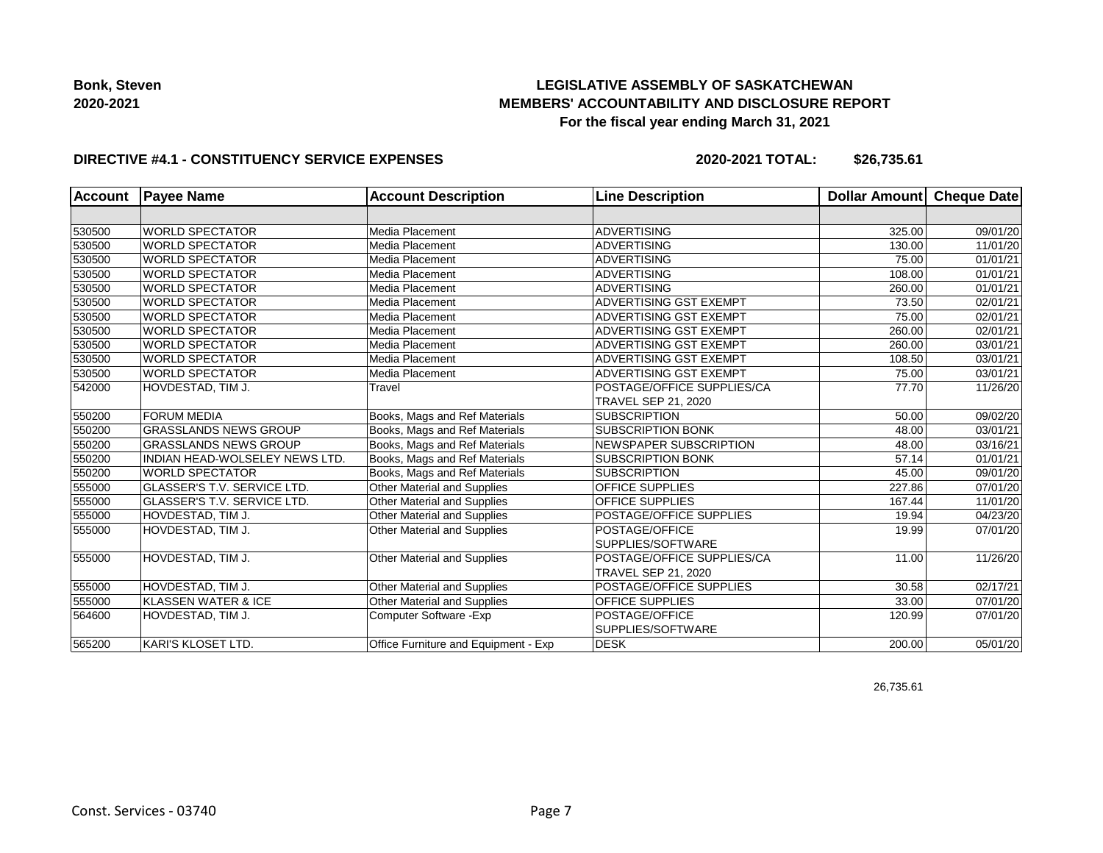## **LEGISLATIVE ASSEMBLY OF SASKATCHEWAN MEMBERS' ACCOUNTABILITY AND DISCLOSURE REPORT For the fiscal year ending March 31, 2021**

### **DIRECTIVE #4.1 - CONSTITUENCY SERVICE EXPENSES**

**2020-2021 TOTAL: \$26,735.61**

| <b>Account</b> | <b>Payee Name</b>                     | <b>Account Description</b>           | <b>Line Description</b>        | <b>Dollar Amount</b> | Cheque Date           |
|----------------|---------------------------------------|--------------------------------------|--------------------------------|----------------------|-----------------------|
|                |                                       |                                      |                                |                      |                       |
| 530500         | <b>WORLD SPECTATOR</b>                | Media Placement                      | ADVERTISING                    | 325.00               | 09/01/20              |
| 530500         | <b>WORLD SPECTATOR</b>                | Media Placement                      | <b>ADVERTISING</b>             | 130.00               | 11/01/20              |
| 530500         | <b>WORLD SPECTATOR</b>                | Media Placement                      | <b>ADVERTISING</b>             | 75.00                | 01/01/21              |
| 530500         | <b>WORLD SPECTATOR</b>                | Media Placement                      | <b>ADVERTISING</b>             | 108.00               | 01/01/21              |
| 530500         | <b>WORLD SPECTATOR</b>                | Media Placement                      | <b>ADVERTISING</b>             | 260.00               | 01/01/21              |
| 530500         | <b>WORLD SPECTATOR</b>                | Media Placement                      | <b>ADVERTISING GST EXEMPT</b>  | 73.50                | 02/01/21              |
| 530500         | <b>WORLD SPECTATOR</b>                | Media Placement                      | <b>ADVERTISING GST EXEMPT</b>  | 75.00                | 02/01/21              |
| 530500         | <b>WORLD SPECTATOR</b>                | Media Placement                      | <b>ADVERTISING GST EXEMPT</b>  | 260.00               | 02/01/21              |
| 530500         | <b>WORLD SPECTATOR</b>                | Media Placement                      | <b>ADVERTISING GST EXEMPT</b>  | 260.00               | $\overline{03}/01/21$ |
| 530500         | <b>WORLD SPECTATOR</b>                | Media Placement                      | <b>ADVERTISING GST EXEMPT</b>  | 108.50               | $\overline{03}/01/21$ |
| 530500         | <b>WORLD SPECTATOR</b>                | Media Placement                      | <b>ADVERTISING GST EXEMPT</b>  | 75.00                | 03/01/21              |
| 542000         | HOVDESTAD, TIM J.                     | Travel                               | POSTAGE/OFFICE SUPPLIES/CA     | 77.70                | 11/26/20              |
|                |                                       |                                      | <b>TRAVEL SEP 21, 2020</b>     |                      |                       |
| 550200         | <b>FORUM MEDIA</b>                    | Books, Mags and Ref Materials        | <b>SUBSCRIPTION</b>            | 50.00                | 09/02/20              |
| 550200         | <b>GRASSLANDS NEWS GROUP</b>          | Books, Mags and Ref Materials        | <b>SUBSCRIPTION BONK</b>       | 48.00                | 03/01/21              |
| 550200         | <b>GRASSLANDS NEWS GROUP</b>          | Books, Mags and Ref Materials        | NEWSPAPER SUBSCRIPTION         | 48.00                | 03/16/21              |
| 550200         | <b>INDIAN HEAD-WOLSELEY NEWS LTD.</b> | Books, Mags and Ref Materials        | <b>SUBSCRIPTION BONK</b>       | 57.14                | 01/01/21              |
| 550200         | <b>WORLD SPECTATOR</b>                | Books, Mags and Ref Materials        | <b>SUBSCRIPTION</b>            | 45.00                | 09/01/20              |
| 555000         | GLASSER'S T.V. SERVICE LTD.           | Other Material and Supplies          | <b>OFFICE SUPPLIES</b>         | 227.86               | 07/01/20              |
| 555000         | <b>GLASSER'S T.V. SERVICE LTD.</b>    | Other Material and Supplies          | <b>OFFICE SUPPLIES</b>         | 167.44               | 11/01/20              |
| 555000         | HOVDESTAD, TIM J.                     | <b>Other Material and Supplies</b>   | <b>POSTAGE/OFFICE SUPPLIES</b> | 19.94                | 04/23/20              |
| 555000         | HOVDESTAD, TIM J.                     | <b>Other Material and Supplies</b>   | <b>POSTAGE/OFFICE</b>          | 19.99                | 07/01/20              |
|                |                                       |                                      | SUPPLIES/SOFTWARE              |                      |                       |
| 555000         | HOVDESTAD, TIM J.                     | <b>Other Material and Supplies</b>   | POSTAGE/OFFICE SUPPLIES/CA     | 11.00                | 11/26/20              |
|                |                                       |                                      | <b>TRAVEL SEP 21, 2020</b>     |                      |                       |
| 555000         | HOVDESTAD, TIM J.                     | Other Material and Supplies          | POSTAGE/OFFICE SUPPLIES        | 30.58                | 02/17/21              |
| 555000         | KLASSEN WATER & ICE                   | Other Material and Supplies          | OFFICE SUPPLIES                | 33.00                | 07/01/20              |
| 564600         | HOVDESTAD, TIM J.                     | Computer Software - Exp              | <b>POSTAGE/OFFICE</b>          | 120.99               | 07/01/20              |
|                |                                       |                                      | SUPPLIES/SOFTWARE              |                      |                       |
| 565200         | <b>KARI'S KLOSET LTD.</b>             | Office Furniture and Equipment - Exp | <b>DESK</b>                    | 200.00               | 05/01/20              |
|                |                                       |                                      |                                |                      |                       |

26,735.61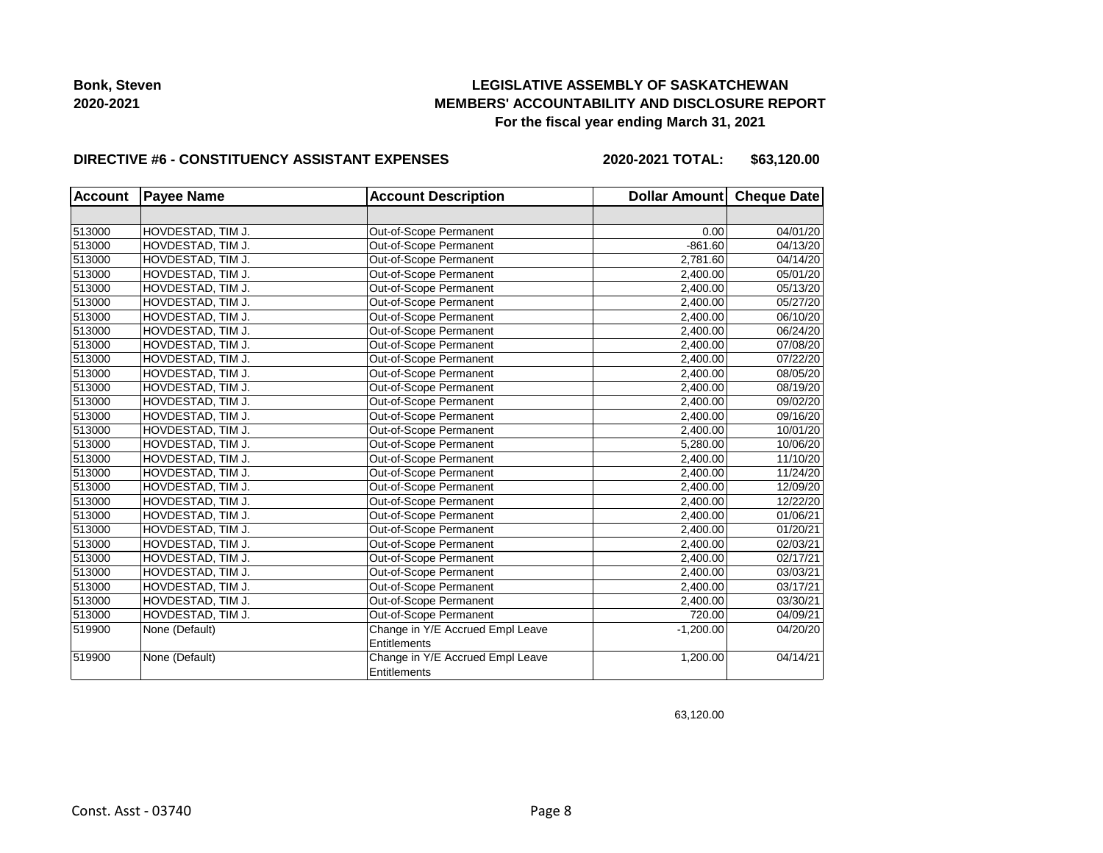## **LEGISLATIVE ASSEMBLY OF SASKATCHEWAN MEMBERS' ACCOUNTABILITY AND DISCLOSURE REPORT For the fiscal year ending March 31, 2021**

#### **DIRECTIVE #6 - CONSTITUENCY ASSISTANT EXPENSES**

**2020-2021 TOTAL: \$63,120.00**

| <b>Account</b> | <b>Payee Name</b> | <b>Account Description</b>       | Dollar Amount Cheque Date |          |
|----------------|-------------------|----------------------------------|---------------------------|----------|
|                |                   |                                  |                           |          |
| 513000         | HOVDESTAD, TIM J. | Out-of-Scope Permanent           | 0.00                      | 04/01/20 |
| 513000         | HOVDESTAD, TIM J. | Out-of-Scope Permanent           | $-861.60$                 | 04/13/20 |
| 513000         | HOVDESTAD, TIM J. | Out-of-Scope Permanent           | 2,781.60                  | 04/14/20 |
| 513000         | HOVDESTAD, TIM J. | Out-of-Scope Permanent           | 2,400.00                  | 05/01/20 |
| 513000         | HOVDESTAD, TIM J. | Out-of-Scope Permanent           | 2,400.00                  | 05/13/20 |
| 513000         | HOVDESTAD, TIM J. | Out-of-Scope Permanent           | 2.400.00                  | 05/27/20 |
| 513000         | HOVDESTAD, TIM J. | Out-of-Scope Permanent           | 2,400.00                  | 06/10/20 |
| 513000         | HOVDESTAD, TIM J. | Out-of-Scope Permanent           | 2,400.00                  | 06/24/20 |
| 513000         | HOVDESTAD, TIM J. | Out-of-Scope Permanent           | 2,400.00                  | 07/08/20 |
| 513000         | HOVDESTAD, TIM J. | Out-of-Scope Permanent           | 2,400.00                  | 07/22/20 |
| 513000         | HOVDESTAD, TIM J. | Out-of-Scope Permanent           | 2,400.00                  | 08/05/20 |
| 513000         | HOVDESTAD, TIM J. | Out-of-Scope Permanent           | 2,400.00                  | 08/19/20 |
| 513000         | HOVDESTAD, TIM J. | Out-of-Scope Permanent           | 2,400.00                  | 09/02/20 |
| 513000         | HOVDESTAD, TIM J. | Out-of-Scope Permanent           | 2,400.00                  | 09/16/20 |
| 513000         | HOVDESTAD, TIM J. | Out-of-Scope Permanent           | 2,400.00                  | 10/01/20 |
| 513000         | HOVDESTAD, TIM J. | Out-of-Scope Permanent           | 5,280.00                  | 10/06/20 |
| 513000         | HOVDESTAD, TIM J. | Out-of-Scope Permanent           | 2,400.00                  | 11/10/20 |
| 513000         | HOVDESTAD, TIM J. | Out-of-Scope Permanent           | 2,400.00                  | 11/24/20 |
| 513000         | HOVDESTAD, TIM J. | Out-of-Scope Permanent           | 2,400.00                  | 12/09/20 |
| 513000         | HOVDESTAD, TIM J. | Out-of-Scope Permanent           | 2,400.00                  | 12/22/20 |
| 513000         | HOVDESTAD, TIM J. | Out-of-Scope Permanent           | 2,400.00                  | 01/06/21 |
| 513000         | HOVDESTAD, TIM J. | Out-of-Scope Permanent           | 2,400.00                  | 01/20/21 |
| 513000         | HOVDESTAD, TIM J. | Out-of-Scope Permanent           | 2,400.00                  | 02/03/21 |
| 513000         | HOVDESTAD, TIM J. | Out-of-Scope Permanent           | 2,400.00                  | 02/17/21 |
| 513000         | HOVDESTAD, TIM J. | Out-of-Scope Permanent           | 2,400.00                  | 03/03/21 |
| 513000         | HOVDESTAD, TIM J. | Out-of-Scope Permanent           | 2,400.00                  | 03/17/21 |
| 513000         | HOVDESTAD, TIM J. | Out-of-Scope Permanent           | 2,400.00                  | 03/30/21 |
| 513000         | HOVDESTAD, TIM J. | Out-of-Scope Permanent           | 720.00                    | 04/09/21 |
| 519900         | None (Default)    | Change in Y/E Accrued Empl Leave | $-1,200.00$               | 04/20/20 |
|                |                   | <b>Entitlements</b>              |                           |          |
| 519900         | None (Default)    | Change in Y/E Accrued Empl Leave | 1,200.00                  | 04/14/21 |
|                |                   | Entitlements                     |                           |          |

63,120.00